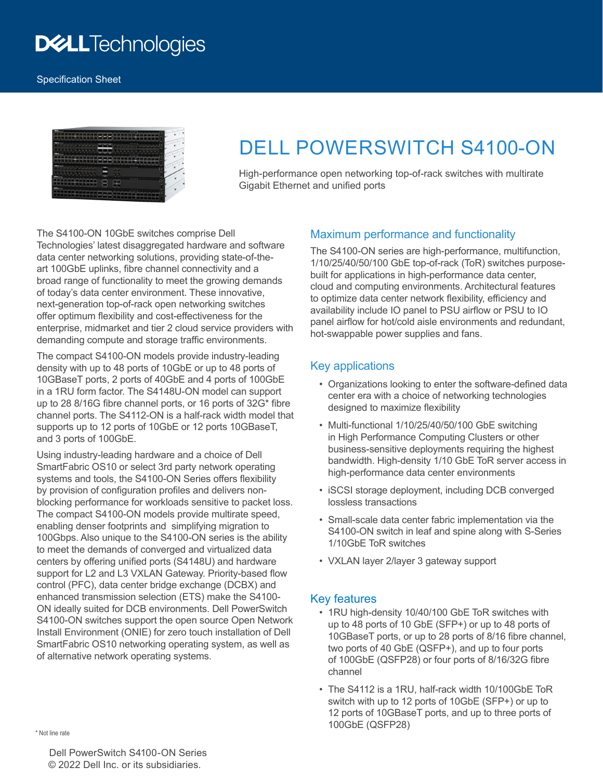# **DELLTechnologies**



# DELL POWERSWITCH S4100-ON

High-performance open networking top-of-rack switches with multirate Gigabit Ethernet and unified ports

The S4100-ON 10GbE switches comprise Dell Technologies' latest disaggregated hardware and software data center networking solutions, providing state-of-theart 100GbE uplinks, fibre channel connectivity and a broad range of functionality to meet the growing demands of today's data center environment. These innovative, next-generation top-of-rack open networking switches offer optimum flexibility and cost-effectiveness for the enterprise, midmarket and tier 2 cloud service providers with demanding compute and storage traffic environments.

The compact S4100-ON models provide industry-leading density with up to 48 ports of 10GbE or up to 48 ports of 10GBaseT ports, 2 ports of 40GbE and 4 ports of 100GbE in a 1RU form factor. The S4148U-ON model can support up to 28 8/16G fibre channel ports, or 16 ports of 32G\* fibre channel ports. The S4112-ON is a half-rack width model that supports up to 12 ports of 10GbE or 12 ports 10GBaseT, and 3 ports of 100GbE.

Using industry-leading hardware and a choice of Dell SmartFabric OS10 or select 3rd party network operating systems and tools, the S4100-ON Series offers flexibility by provision of configuration profiles and delivers nonblocking performance for workloads sensitive to packet loss. The compact S4100-ON models provide multirate speed, enabling denser footprints and simplifying migration to 100Gbps. Also unique to the S4100-ON series is the ability to meet the demands of converged and virtualized data centers by offering unified ports (S4148U) and hardware support for L2 and L3 VXLAN Gateway. Priority-based flow control (PFC), data center bridge exchange (DCBX) and enhanced transmission selection (ETS) make the S4100- ON ideally suited for DCB environments. Dell PowerSwitch S4100-ON switches support the open source Open Network Install Environment (ONIE) for zero touch installation of Dell SmartFabric OS10 networking operating system, as well as of alternative network operating systems.

## Maximum performance and functionality

The S4100-ON series are high-performance, multifunction, 1/10/25/40/50/100 GbE top-of-rack (ToR) switches purposebuilt for applications in high-performance data center, cloud and computing environments. Architectural features to optimize data center network flexibility, efficiency and availability include IO panel to PSU airflow or PSU to IO panel airflow for hot/cold aisle environments and redundant, hot-swappable power supplies and fans.

## Key applications

- Organizations looking to enter the software-defined data center era with a choice of networking technologies designed to maximize flexibility
- Multi-functional 1/10/25/40/50/100 GbE switching in High Performance Computing Clusters or other business-sensitive deployments requiring the highest bandwidth. High-density 1/10 GbE ToR server access in high-performance data center environments
- iSCSI storage deployment, including DCB converged lossless transactions
- Small-scale data center fabric implementation via the S4100-ON switch in leaf and spine along with S-Series 1/10GbE ToR switches
- VXLAN layer 2/layer 3 gateway support

## Key features

- 1RU high-density 10/40/100 GbE ToR switches with up to 48 ports of 10 GbE (SFP+) or up to 48 ports of 10GBaseT ports, or up to 28 ports of 8/16 fibre channel, two ports of 40 GbE (QSFP+), and up to four ports of 100GbE (QSFP28) or four ports of 8/16/32G fibre channel
- The S4112 is a 1RU, half-rack width 10/100GbE ToR switch with up to 12 ports of 10GbE (SFP+) or up to 12 ports of 10GBaseT ports, and up to three ports of 100GbE (QSFP28) \* Not line rate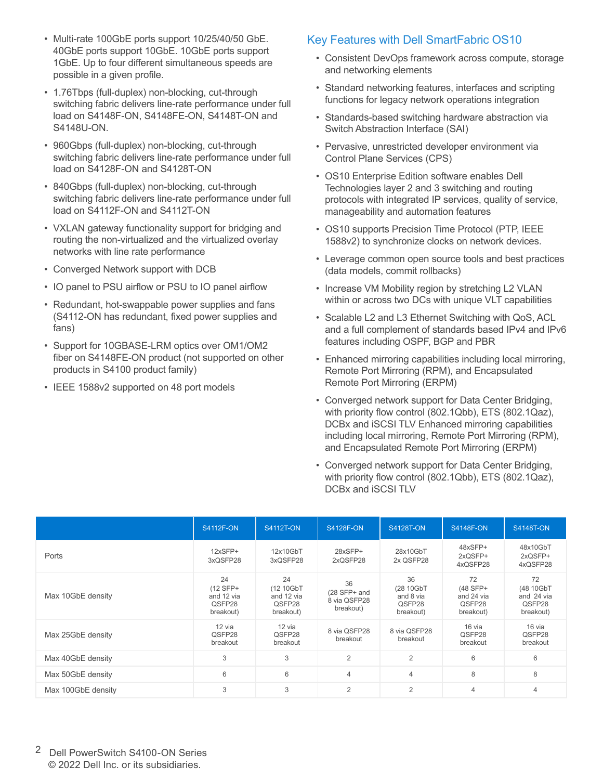- Multi-rate 100GbE ports support 10/25/40/50 GbE. 40GbE ports support 10GbE. 10GbE ports support 1GbE. Up to four different simultaneous speeds are possible in a given profile.
- 1.76Tbps (full-duplex) non-blocking, cut-through switching fabric delivers line-rate performance under full load on S4148F-ON, S4148FE-ON, S4148T-ON and S4148U-ON.
- 960Gbps (full-duplex) non-blocking, cut-through switching fabric delivers line-rate performance under full load on S4128F-ON and S4128T-ON
- 840Gbps (full-duplex) non-blocking, cut-through switching fabric delivers line-rate performance under full load on S4112F-ON and S4112T-ON
- VXLAN gateway functionality support for bridging and routing the non-virtualized and the virtualized overlay networks with line rate performance
- Converged Network support with DCB
- IO panel to PSU airflow or PSU to IO panel airflow
- Redundant, hot-swappable power supplies and fans (S4112-ON has redundant, fixed power supplies and fans)
- Support for 10GBASE-LRM optics over OM1/OM2 fiber on S4148FE-ON product (not supported on other products in S4100 product family)
- IEEE 1588v2 supported on 48 port models

## Key Features with Dell SmartFabric OS10

- Consistent DevOps framework across compute, storage and networking elements
- Standard networking features, interfaces and scripting functions for legacy network operations integration
- Standards-based switching hardware abstraction via Switch Abstraction Interface (SAI)
- Pervasive, unrestricted developer environment via Control Plane Services (CPS)
- OS10 Enterprise Edition software enables Dell Technologies layer 2 and 3 switching and routing protocols with integrated IP services, quality of service, manageability and automation features
- OS10 supports Precision Time Protocol (PTP, IEEE 1588v2) to synchronize clocks on network devices.
- Leverage common open source tools and best practices (data models, commit rollbacks)
- Increase VM Mobility region by stretching L2 VLAN within or across two DCs with unique VLT capabilities
- Scalable L2 and L3 Ethernet Switching with QoS, ACL and a full complement of standards based IPv4 and IPv6 features including OSPF, BGP and PBR
- Enhanced mirroring capabilities including local mirroring, Remote Port Mirroring (RPM), and Encapsulated Remote Port Mirroring (ERPM)
- Converged network support for Data Center Bridging, with priority flow control (802.1Qbb), ETS (802.1Qaz), DCBx and iSCSI TLV Enhanced mirroring capabilities including local mirroring, Remote Port Mirroring (RPM), and Encapsulated Remote Port Mirroring (ERPM)
- Converged network support for Data Center Bridging, with priority flow control (802.1Qbb), ETS (802.1Qaz), DCBx and iSCSI TLV

|                    | <b>S4112F-ON</b>                                      | <b>S4112T-ON</b>                                     | <b>S4128F-ON</b>                                | <b>S4128T-ON</b>                                    | <b>S4148F-ON</b>                                    | <b>S4148T-ON</b>                                     |
|--------------------|-------------------------------------------------------|------------------------------------------------------|-------------------------------------------------|-----------------------------------------------------|-----------------------------------------------------|------------------------------------------------------|
| Ports              | $12xSFP+$<br>3xQSFP28                                 | 12x10GbT<br>3xQSFP28                                 | 28xSFP+<br>2xQSFP28                             | 28x10GbT<br>2x QSFP28                               | 48xSFP+<br>2xQSFP+<br>4xQSFP28                      | 48x10GbT<br>2xQSFP+<br>4xQSFP28                      |
| Max 10GbE density  | 24<br>$(12 SFP+$<br>and 12 via<br>QSFP28<br>breakout) | 24<br>(12 10GbT<br>and 12 via<br>QSFP28<br>breakout) | 36<br>(28 SFP+ and<br>8 via QSFP28<br>breakout) | 36<br>(28 10GbT<br>and 8 via<br>QSFP28<br>breakout) | 72<br>(48 SFP+<br>and 24 via<br>QSFP28<br>breakout) | 72<br>(48 10GbT<br>and 24 via<br>QSFP28<br>breakout) |
| Max 25GbE density  | 12 via<br>QSFP28<br>breakout                          | 12 via<br>QSFP28<br>breakout                         | 8 via QSFP28<br>breakout                        | 8 via QSFP28<br>breakout                            | 16 via<br>QSFP28<br>breakout                        | 16 via<br>QSFP28<br>breakout                         |
| Max 40GbE density  | 3                                                     | 3                                                    | $\overline{2}$                                  | 2                                                   | 6                                                   | 6                                                    |
| Max 50GbE density  | $6\,$                                                 | 6                                                    | 4                                               | $\overline{4}$                                      | 8                                                   | 8                                                    |
| Max 100GbE density | 3                                                     | 3                                                    | $\overline{2}$                                  | 2                                                   | $\overline{4}$                                      | 4                                                    |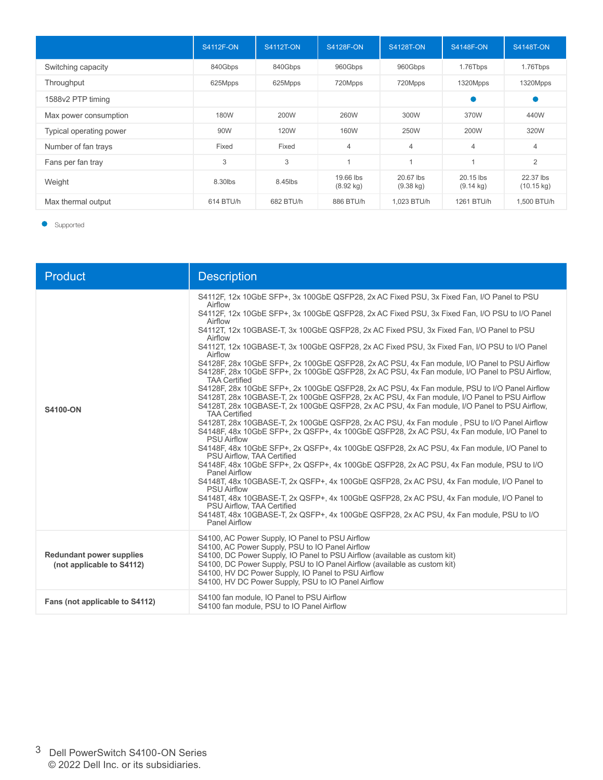|                         | <b>S4112F-ON</b> | <b>S4112T-ON</b> | <b>S4128F-ON</b>                 | <b>S4128T-ON</b>                 | <b>S4148F-ON</b>                   | <b>S4148T-ON</b>                  |
|-------------------------|------------------|------------------|----------------------------------|----------------------------------|------------------------------------|-----------------------------------|
| Switching capacity      | 840Gbps          | 840Gbps          | 960Gbps                          | 960Gbps                          | 1.76Tbps                           | 1.76Tbps                          |
| Throughput              | 625Mpps          | 625Mpps          | 720Mpps                          | 720Mpps                          | 1320Mpps                           | 1320Mpps                          |
| 1588v2 PTP timing       |                  |                  |                                  |                                  |                                    |                                   |
| Max power consumption   | 180W             | 200W             | 260W                             | 300W                             | 370W                               | 440W                              |
| Typical operating power | 90W              | 120W             | 160W                             | 250W                             | 200W                               | 320W                              |
| Number of fan trays     | Fixed            | Fixed            | $\overline{4}$                   | $\overline{4}$                   | $\overline{4}$                     | $\overline{4}$                    |
| Fans per fan tray       | 3                | 3                |                                  | $\overline{A}$                   |                                    | 2                                 |
| Weight                  | 8.30lbs          | 8.45lbs          | 19.66 lbs<br>$(8.92 \text{ kg})$ | 20.67 lbs<br>$(9.38 \text{ kg})$ | $20.15$ lbs<br>$(9.14 \text{ kg})$ | 22.37 lbs<br>$(10.15 \text{ kg})$ |
| Max thermal output      | 614 BTU/h        | 682 BTU/h        | 886 BTU/h                        | 1,023 BTU/h                      | 1261 BTU/h                         | 1,500 BTU/h                       |

**Supported** 

| Product                                                      | <b>Description</b>                                                                                                                                                                                                                                                                                                                                                                                                                                                                                                                                                                                                                                                                                                                                                                                                                                                                                                                                                                                                                                                                                                                                                                                                                                                                                                                                                                                                                                                                                                                                                                                                                                                                                                                                                                                                            |
|--------------------------------------------------------------|-------------------------------------------------------------------------------------------------------------------------------------------------------------------------------------------------------------------------------------------------------------------------------------------------------------------------------------------------------------------------------------------------------------------------------------------------------------------------------------------------------------------------------------------------------------------------------------------------------------------------------------------------------------------------------------------------------------------------------------------------------------------------------------------------------------------------------------------------------------------------------------------------------------------------------------------------------------------------------------------------------------------------------------------------------------------------------------------------------------------------------------------------------------------------------------------------------------------------------------------------------------------------------------------------------------------------------------------------------------------------------------------------------------------------------------------------------------------------------------------------------------------------------------------------------------------------------------------------------------------------------------------------------------------------------------------------------------------------------------------------------------------------------------------------------------------------------|
| S4100-ON                                                     | S4112F, 12x 10GbE SFP+, 3x 100GbE QSFP28, 2x AC Fixed PSU, 3x Fixed Fan, I/O Panel to PSU<br>Airflow<br>S4112F, 12x 10GbE SFP+, 3x 100GbE QSFP28, 2x AC Fixed PSU, 3x Fixed Fan, I/O PSU to I/O Panel<br>Airflow<br>S4112T, 12x 10GBASE-T, 3x 100GbE QSFP28, 2x AC Fixed PSU, 3x Fixed Fan, I/O Panel to PSU<br>Airflow<br>S4112T, 12x 10GBASE-T, 3x 100GbE QSFP28, 2x AC Fixed PSU, 3x Fixed Fan, I/O PSU to I/O Panel<br>Airflow<br>S4128F, 28x 10GbE SFP+, 2x 100GbE QSFP28, 2x AC PSU, 4x Fan module, I/O Panel to PSU Airflow<br>S4128F, 28x 10GbE SFP+, 2x 100GbE QSFP28, 2x AC PSU, 4x Fan module, I/O Panel to PSU Airflow,<br><b>TAA Certified</b><br>S4128F, 28x 10GbE SFP+, 2x 100GbE QSFP28, 2x AC PSU, 4x Fan module, PSU to I/O Panel Airflow<br>S4128T, 28x 10GBASE-T, 2x 100GbE QSFP28, 2x AC PSU, 4x Fan module, I/O Panel to PSU Airflow<br>S4128T, 28x 10GBASE-T, 2x 100GbE QSFP28, 2x AC PSU, 4x Fan module, I/O Panel to PSU Airflow,<br><b>TAA Certified</b><br>S4128T, 28x 10GBASE-T, 2x 100GbE QSFP28, 2x AC PSU, 4x Fan module, PSU to I/O Panel Airflow<br>S4148F, 48x 10GbE SFP+, 2x QSFP+, 4x 100GbE QSFP28, 2x AC PSU, 4x Fan module, I/O Panel to<br><b>PSU Airflow</b><br>S4148F, 48x 10GbE SFP+, 2x QSFP+, 4x 100GbE QSFP28, 2x AC PSU, 4x Fan module, I/O Panel to<br>PSU Airflow. TAA Certified<br>S4148F, 48x 10GbE SFP+, 2x QSFP+, 4x 100GbE QSFP28, 2x AC PSU, 4x Fan module, PSU to I/O<br><b>Panel Airflow</b><br>S4148T, 48x 10GBASE-T, 2x QSFP+, 4x 100GbE QSFP28, 2x AC PSU, 4x Fan module, I/O Panel to<br><b>PSU Airflow</b><br>S4148T, 48x 10GBASE-T, 2x QSFP+, 4x 100GbE QSFP28, 2x AC PSU, 4x Fan module, I/O Panel to<br><b>PSU Airflow. TAA Certified</b><br>S4148T, 48x 10GBASE-T, 2x QSFP+, 4x 100GbE QSFP28, 2x AC PSU, 4x Fan module, PSU to I/O<br><b>Panel Airflow</b> |
| <b>Redundant power supplies</b><br>(not applicable to S4112) | S4100, AC Power Supply, IO Panel to PSU Airflow<br>S4100, AC Power Supply, PSU to IO Panel Airflow<br>S4100, DC Power Supply, IO Panel to PSU Airflow (available as custom kit)<br>S4100, DC Power Supply, PSU to IO Panel Airflow (available as custom kit)<br>S4100, HV DC Power Supply, IO Panel to PSU Airflow<br>S4100, HV DC Power Supply, PSU to IO Panel Airflow                                                                                                                                                                                                                                                                                                                                                                                                                                                                                                                                                                                                                                                                                                                                                                                                                                                                                                                                                                                                                                                                                                                                                                                                                                                                                                                                                                                                                                                      |
| Fans (not applicable to S4112)                               | S4100 fan module, IO Panel to PSU Airflow<br>S4100 fan module, PSU to IO Panel Airflow                                                                                                                                                                                                                                                                                                                                                                                                                                                                                                                                                                                                                                                                                                                                                                                                                                                                                                                                                                                                                                                                                                                                                                                                                                                                                                                                                                                                                                                                                                                                                                                                                                                                                                                                        |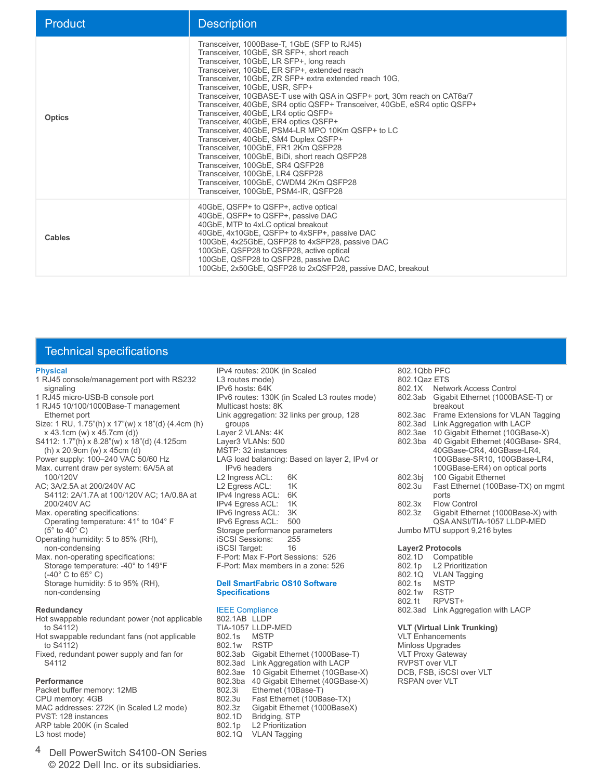| Product       | <b>Description</b>                                                                                                                                                                                                                                                                                                                                                                                                                                                                                                                                                                                                                                                                                                                                                                                                                                           |
|---------------|--------------------------------------------------------------------------------------------------------------------------------------------------------------------------------------------------------------------------------------------------------------------------------------------------------------------------------------------------------------------------------------------------------------------------------------------------------------------------------------------------------------------------------------------------------------------------------------------------------------------------------------------------------------------------------------------------------------------------------------------------------------------------------------------------------------------------------------------------------------|
| <b>Optics</b> | Transceiver, 1000Base-T, 1GbE (SFP to RJ45)<br>Transceiver, 10GbE, SR SFP+, short reach<br>Transceiver, 10GbE, LR SFP+, long reach<br>Transceiver, 10GbE, ER SFP+, extended reach<br>Transceiver, 10GbE, ZR SFP+ extra extended reach 10G.<br>Transceiver, 10GbE, USR, SFP+<br>Transceiver, 10GBASE-T use with QSA in QSFP+ port, 30m reach on CAT6a/7<br>Transceiver, 40GbE, SR4 optic QSFP+ Transceiver, 40GbE, eSR4 optic QSFP+<br>Transceiver, 40GbE, LR4 optic QSFP+<br>Transceiver, 40GbE, ER4 optics QSFP+<br>Transceiver, 40GbE, PSM4-LR MPO 10Km QSFP+ to LC<br>Transceiver, 40GbE, SM4 Duplex QSFP+<br>Transceiver, 100GbE, FR1 2Km QSFP28<br>Transceiver, 100GbE, BiDi, short reach QSFP28<br>Transceiver, 100GbE, SR4 QSFP28<br>Transceiver, 100GbE, LR4 QSFP28<br>Transceiver, 100GbE, CWDM4 2Km QSFP28<br>Transceiver, 100GbE, PSM4-IR, QSFP28 |
| Cables        | 40GbE, QSFP+ to QSFP+, active optical<br>40GbE, QSFP+ to QSFP+, passive DAC<br>40GbE, MTP to 4xLC optical breakout<br>40GbE, 4x10GbE, QSFP+ to 4xSFP+, passive DAC<br>100GbE, 4x25GbE, QSFP28 to 4xSFP28, passive DAC<br>100GbE, QSFP28 to QSFP28, active optical<br>100GbE, QSFP28 to QSFP28, passive DAC<br>100GbE, 2x50GbE, QSFP28 to 2xQSFP28, passive DAC, breakout                                                                                                                                                                                                                                                                                                                                                                                                                                                                                     |

## Technical specifications

#### **Physical**

- 1 RJ45 console/management port with RS232 signaling
- 1 RJ45 micro-USB-B console port
- 1 RJ45 10/100/1000Base-T management Ethernet port
- Size: 1 RU, 1.75"(h) x 17"(w) x 18"(d) (4.4cm (h) x 43.1cm (w) x 45.7cm (d))
- S4112: 1.7"(h) x 8.28"(w) x 18"(d) (4.125cm (h) x 20.9cm (w) x 45cm (d)
- Power supply: 100–240 VAC 50/60 Hz
- Max. current draw per system: 6A/5A at 100/120V
- AC; 3A/2.5A at 200/240V AC S4112: 2A/1.7A at 100/120V AC; 1A/0.8A at
- 200/240V AC
- Max. operating specifications: Operating temperature: 41° to 104° F
- (5° to 40° C) Operating humidity: 5 to 85% (RH), non-condensing
- Max. non-operating specifications: Storage temperature: -40° to 149°F  $(-40^\circ \text{ C to } 65^\circ \text{ C})$ Storage humidity: 5 to 95% (RH), non-condensing

#### **Redundancy**

- Hot swappable redundant power (not applicable to S4112)
- Hot swappable redundant fans (not applicable to S4112)
- Fixed, redundant power supply and fan for S4112

#### **Performance**

Packet buffer memory: 12MB CPU memory: 4GB MAC addresses: 272K (in Scaled L2 mode) PVST: 128 instances ARP table 200K (in Scaled L3 host mode)

4 Dell PowerSwitch S4100-ON Series © 2022 Dell Inc. or its subsidiaries.

IPv4 routes: 200K (in Scaled L3 routes mode) IPv6 hosts: 64K IPv6 routes: 130K (in Scaled L3 routes mode) Multicast hosts: 8K Link aggregation: 32 links per group, 128 groups Layer 2 VLANs: 4K Layer3 VLANs: 500 MSTP: 32 instances LAG load balancing: Based on layer 2, IPv4 or IPv6 headers L2 Ingress ACL: 6K<br>I 2 Faress ACI 1K L2 Egress ACL: IPv4 Ingress ACL: 6K<br>IPv4 Egress ACL: 1K **IPv4 Egress ACL: 1K**<br>IPv6 Ingress ACL: 3K IPv6 Ingress ACL: IPv6 Egress ACL: 500 Storage performance parameters iSCSI Sessions: 255<br>iSCSI Target: 16 iSCSI Target: F-Port: Max F-Port Sessions: 526 F-Port: Max members in a zone: 526

#### **Dell SmartFabric OS10 Software Specifications**

#### IEEE Compliance

802.1AB LLDP TIA-1057 LLDP-MED 802.1s MSTP<br>802.1w RSTP 802.1w<br>802.3ab 802.3ab Gigabit Ethernet (1000Base-T)<br>802.3ad Link Aggregation with LACP Link Aggregation with LACP 802.3ae 10 Gigabit Ethernet (10GBase-X) 802.3ba 40 Gigabit Ethernet (40GBase-X) 802.3i Ethernet (10Base-T)<br>802.3u Fast Ethernet (100Ba 802.3u Fast Ethernet (100Base-TX)<br>802.3z Gigabit Ethernet (1000Base) Gigabit Ethernet (1000BaseX) 802.1D Bridging, STP<br>802.1p L2 Prioritizatio **L2 Prioritization** 802.1Q VLAN Tagging

## 802.1Qbb PFC

- 802.1Qaz ETS<br>802.1X Netw Network Access Control 802.3ab Gigabit Ethernet (1000BASE-T) or breakout<br>Bo2.3ac Frame Ex 802.3ac Frame Extensions for VLAN Tagging<br>802.3ad Link Aggregation with LACP Link Aggregation with LACP 802.3ae 10 Gigabit Ethernet (10GBase-X) 40 Gigabit Ethernet (40GBase- SR4, 40GBase-CR4, 40GBase-LR4, 100GBase-SR10, 100GBase-LR4, 100GBase-ER4) on optical ports 802.3bj 100 Gigabit Ethernet<br>802.3u Fast Ethernet (100Ba Fast Ethernet (100Base-TX) on mgmt ports<br>802.3x Flow 802.3x Flow Control<br>802.3z Gigabit Ether Gigabit Ethernet (1000Base-X) with QSA ANSI/TIA-1057 LLDP-MED Jumbo MTU support 9,216 bytes
- **Layer2 Protocols** Compatible 802.1p L2 Prioritization<br>802.1Q VLAN Tagging VLAN Tagging<br>MSTP 802.1s MSTP<br>802.1w RSTP 802.1w<br>802.1t RPVST+ 802.3ad Link Aggregation with LACP

#### **VLT (Virtual Link Trunking)**

VLT Enhancements Minloss Upgrades VLT Proxy Gateway RVPST over VLT DCB, FSB, iSCSI over VLT RSPAN over VLT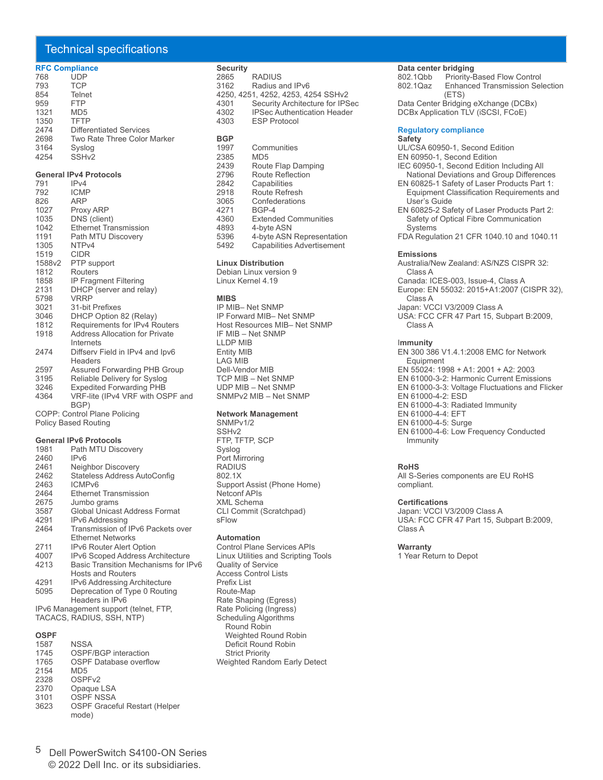## Technical specifications

#### **RFC Compliance**

| 768  | <b>UDP</b>                  |
|------|-----------------------------|
| 793  | <b>TCP</b>                  |
| 854  | Telnet                      |
| 959  | <b>FTP</b>                  |
| 1321 | MD <sub>5</sub>             |
| 1350 | TFTP                        |
| 2474 | Differentiated Services     |
| 2698 | Two Rate Three Color Marker |
| 3164 | Syslog                      |
| 4254 | SSH <sub>v2</sub>           |

#### **General IPv4 Protocols**

| 791  | IPv4                                  |
|------|---------------------------------------|
| 792  | <b>ICMP</b>                           |
| 826  | ARP                                   |
| 1027 | Proxy ARP                             |
| 1035 | DNS (client)                          |
| 1042 | <b>Ethernet Transmission</b>          |
| 1191 | Path MTU Discovery                    |
| 1305 | NTP <sub>v4</sub>                     |
| 1519 | <b>CIDR</b>                           |
|      | 1588v2 PTP support                    |
| 1812 | Routers                               |
| 1858 | <b>IP Fragment Filtering</b>          |
| 2131 | DHCP (server and relay)               |
| 5798 | <b>VRRP</b>                           |
| 3021 | 31-bit Prefixes                       |
| 3046 | DHCP Option 82 (Relay)                |
| 1812 | Requirements for IPv4 Routers         |
| 1918 | <b>Address Allocation for Private</b> |
|      | Internets                             |
| 2474 | Diffserv Field in IPv4 and Ipv6       |
|      | Headers                               |
| 2597 | <b>Assured Forwarding PHB Group</b>   |
| 3195 | Reliable Delivery for Syslog          |
| 3246 | <b>Expedited Forwarding PHB</b>       |
| 4364 | VRF-lite (IPv4 VRF with OSPF and      |
|      | BGP)                                  |
|      | COPP: Control Plane Policing          |
|      | <b>Policy Based Routing</b>           |

#### **General IPv6 Protocols**

| 1981 | Path MTU Discovery                      |
|------|-----------------------------------------|
| 2460 | IP <sub>V6</sub>                        |
| 2461 | Neighbor Discovery                      |
| 2462 | Stateless Address AutoConfig            |
| 2463 | ICMP <sub>v6</sub>                      |
| 2464 | <b>Ethernet Transmission</b>            |
| 2675 | Jumbo grams                             |
| 3587 | Global Unicast Address Format           |
| 4291 | <b>IPv6 Addressing</b>                  |
| 2464 | Transmission of IPv6 Packets over       |
|      | <b>Ethernet Networks</b>                |
| 2711 | <b>IPv6 Router Alert Option</b>         |
| 4007 | <b>IPv6 Scoped Address Architecture</b> |
| 4213 | Basic Transition Mechanisms for IPv6    |
|      | <b>Hosts and Routers</b>                |
| 4291 | <b>IPv6 Addressing Architecture</b>     |
| 5095 | Deprecation of Type 0 Routing           |
|      |                                         |

Headers in IPv6 IPv6 Management support (telnet, FTP, TACACS, RADIUS, SSH, NTP)

### **OSPF**

| 1587 | <b>NSSA</b>                          |
|------|--------------------------------------|
| 1745 | <b>OSPF/BGP</b> interaction          |
| 1765 | <b>OSPF Database overflow</b>        |
| 2154 | MD <sub>5</sub>                      |
| 2328 | OSPF <sub>v2</sub>                   |
| 2370 | Opaque LSA                           |
| 3101 | <b>OSPF NSSA</b>                     |
| 3623 | <b>OSPF Graceful Restart (Helper</b> |
|      | mode)                                |

| <b>Security</b> |                                    |
|-----------------|------------------------------------|
| 2865            | <b>RADIUS</b>                      |
| 3162            | Radius and IPv6                    |
|                 | 4250, 4251, 4252, 4253, 4254 SSHv2 |
| 4301            | Security Architecture for IPSec    |
| 4302            | <b>IPSec Authentication Header</b> |
| 4303            | <b>ESP Protocol</b>                |
|                 |                                    |
|                 |                                    |

## **BGP** 2385

| 2000 | כשועו                             |
|------|-----------------------------------|
| 2439 | Route Flap Damping                |
| 2796 | <b>Route Reflection</b>           |
| 2842 | Capabilities                      |
| 2918 | Route Refresh                     |
| 3065 | Confederations                    |
| 4271 | BGP-4                             |
| 4360 | <b>Extended Communities</b>       |
| 4893 | 4-byte ASN                        |
| 5396 | 4-byte ASN Representation         |
| 5492 | <b>Capabilities Advertisement</b> |
|      |                                   |

Communities

#### **Linux Distribution**

Debian Linux version 9 Linux Kernel 4.19

#### **MIBS**

IP MIB– Net SNMP IP Forward MIB– Net SNMP Host Resources MIB– Net SNMP IF MIB – Net SNMP LLDP MIB Entity MIB LAG MIB Dell-Vendor MIB TCP MIB – Net SNMP UDP MIB – Net SNMP SNMPv2 MIB – Net SNMP

#### **Network Management**

SNMPv1/2 SSHv2 FTP, TFTP, SCP Syslog Port Mirroring **RADIUS** 802.1X Support Assist (Phone Home) Netconf APIs XML Schema CLI Commit (Scratchpad) sFlow

#### **Automation**

Control Plane Services APIs Linux Utilities and Scripting Tools Quality of Service Access Control Lists Prefix List Route-Map Rate Shaping (Egress) Rate Policing (Ingress) Scheduling Algorithms Round Robin Weighted Round Robin Deficit Round Robin Strict Priority Weighted Random Early Detect

## **Data center bridging**<br>802.1Qbb Priority-B

802.1Qbb Priority-Based Flow Control<br>802.1Qaz Enhanced Transmission Sel Enhanced Transmission Selection (ETS) Data Center Bridging eXchange (DCBx)

DCBx Application TLV (iSCSI, FCoE)

#### **Regulatory compliance**

#### **Safety**

UL/CSA 60950-1, Second Edition EN 60950-1, Second Edition IEC 60950-1, Second Edition Including All National Deviations and Group Differences EN 60825-1 Safety of Laser Products Part 1: Equipment Classification Requirements and User's Guide EN 60825-2 Safety of Laser Products Part 2: Safety of Optical Fibre Communication **Systems** FDA Regulation 21 CFR 1040.10 and 1040.11

#### **Emissions**

Australia/New Zealand: AS/NZS CISPR 32: Class A Canada: ICES-003, Issue-4, Class A Europe: EN 55032: 2015+A1:2007 (CISPR 32), Class A Japan: VCCI V3/2009 Class A USA: FCC CFR 47 Part 15, Subpart B:2009, Class A

#### I**mmunity**

EN 300 386 V1.4.1:2008 EMC for Network **Equipment** EN 55024: 1998 + A1: 2001 + A2: 2003 EN 61000-3-2: Harmonic Current Emissions EN 61000-3-3: Voltage Fluctuations and Flicker EN 61000-4-2: ESD EN 61000-4-3: Radiated Immunity EN 61000-4-4: EFT EN 61000-4-5: Surge EN 61000-4-6: Low Frequency Conducted Immunity

#### **RoHS**

All S-Series components are EU RoHS compliant.

#### **Certifications**

Japan: VCCI V3/2009 Class A USA: FCC CFR 47 Part 15, Subpart B:2009, Class A

#### **Warranty**

1 Year Return to Depot